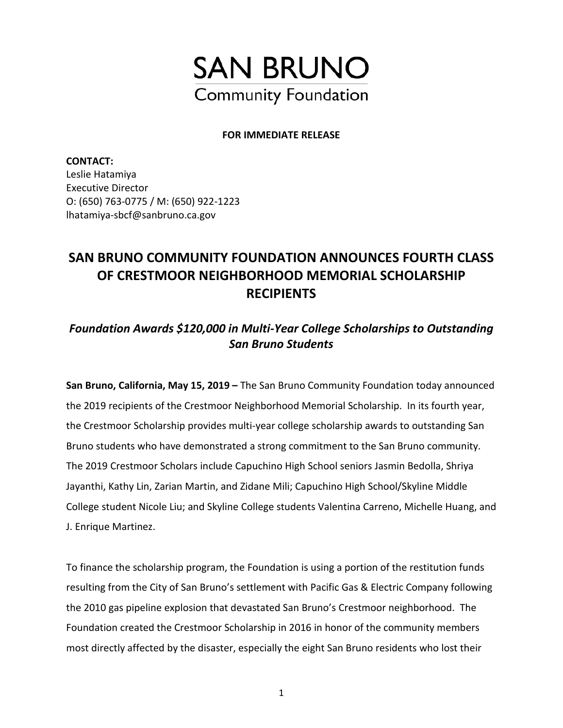

#### **FOR IMMEDIATE RELEASE**

**CONTACT:**  Leslie Hatamiya Executive Director O: (650) 763-0775 / M: (650) 922-1223 lhatamiya-sbcf@sanbruno.ca.gov

# **SAN BRUNO COMMUNITY FOUNDATION ANNOUNCES FOURTH CLASS OF CRESTMOOR NEIGHBORHOOD MEMORIAL SCHOLARSHIP RECIPIENTS**

## *Foundation Awards \$120,000 in Multi-Year College Scholarships to Outstanding San Bruno Students*

**San Bruno, California, May 15, 2019 –** The San Bruno Community Foundation today announced the 2019 recipients of the Crestmoor Neighborhood Memorial Scholarship. In its fourth year, the Crestmoor Scholarship provides multi-year college scholarship awards to outstanding San Bruno students who have demonstrated a strong commitment to the San Bruno community. The 2019 Crestmoor Scholars include Capuchino High School seniors Jasmin Bedolla, Shriya Jayanthi, Kathy Lin, Zarian Martin, and Zidane Mili; Capuchino High School/Skyline Middle College student Nicole Liu; and Skyline College students Valentina Carreno, Michelle Huang, and J. Enrique Martinez.

To finance the scholarship program, the Foundation is using a portion of the restitution funds resulting from the City of San Bruno's settlement with Pacific Gas & Electric Company following the 2010 gas pipeline explosion that devastated San Bruno's Crestmoor neighborhood. The Foundation created the Crestmoor Scholarship in 2016 in honor of the community members most directly affected by the disaster, especially the eight San Bruno residents who lost their

1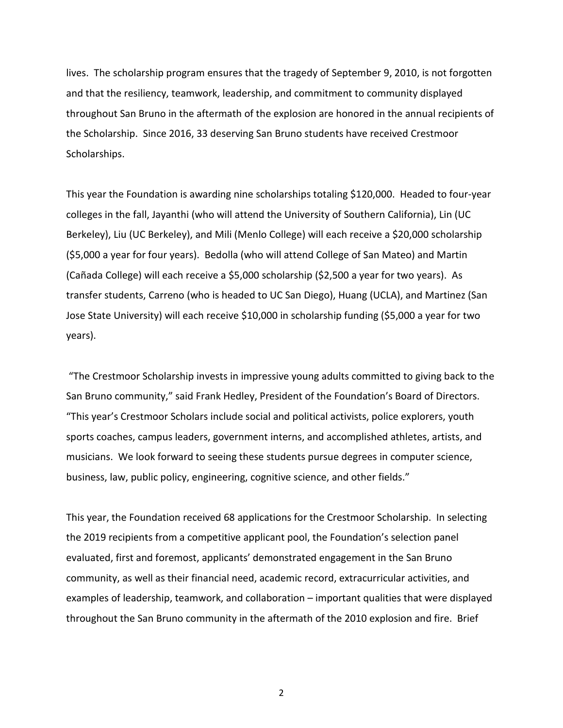lives. The scholarship program ensures that the tragedy of September 9, 2010, is not forgotten and that the resiliency, teamwork, leadership, and commitment to community displayed throughout San Bruno in the aftermath of the explosion are honored in the annual recipients of the Scholarship. Since 2016, 33 deserving San Bruno students have received Crestmoor Scholarships.

This year the Foundation is awarding nine scholarships totaling \$120,000. Headed to four-year colleges in the fall, Jayanthi (who will attend the University of Southern California), Lin (UC Berkeley), Liu (UC Berkeley), and Mili (Menlo College) will each receive a \$20,000 scholarship (\$5,000 a year for four years). Bedolla (who will attend College of San Mateo) and Martin (Cañada College) will each receive a \$5,000 scholarship (\$2,500 a year for two years). As transfer students, Carreno (who is headed to UC San Diego), Huang (UCLA), and Martinez (San Jose State University) will each receive \$10,000 in scholarship funding (\$5,000 a year for two years).

"The Crestmoor Scholarship invests in impressive young adults committed to giving back to the San Bruno community," said Frank Hedley, President of the Foundation's Board of Directors. "This year's Crestmoor Scholars include social and political activists, police explorers, youth sports coaches, campus leaders, government interns, and accomplished athletes, artists, and musicians. We look forward to seeing these students pursue degrees in computer science, business, law, public policy, engineering, cognitive science, and other fields."

This year, the Foundation received 68 applications for the Crestmoor Scholarship. In selecting the 2019 recipients from a competitive applicant pool, the Foundation's selection panel evaluated, first and foremost, applicants' demonstrated engagement in the San Bruno community, as well as their financial need, academic record, extracurricular activities, and examples of leadership, teamwork, and collaboration – important qualities that were displayed throughout the San Bruno community in the aftermath of the 2010 explosion and fire. Brief

2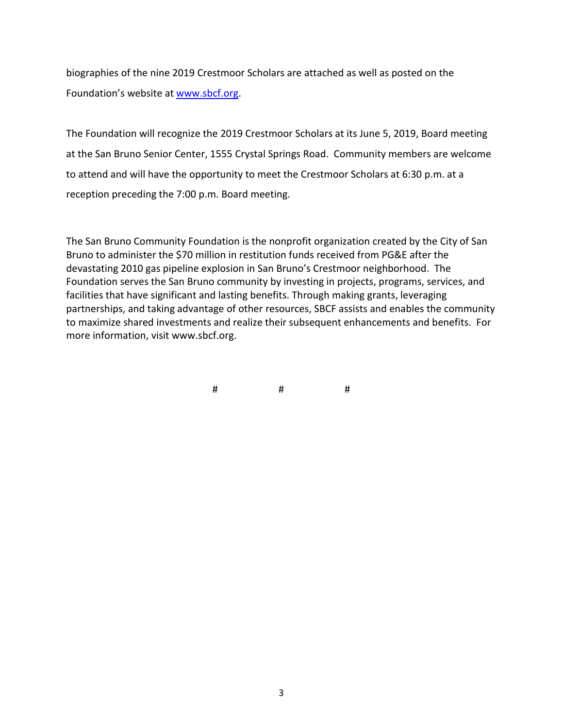biographies of the nine 2019 Crestmoor Scholars are attached as well as posted on the Foundation's website at [www.sbcf.org.](http://www.sbcf.org/)

The Foundation will recognize the 2019 Crestmoor Scholars at its June 5, 2019, Board meeting at the San Bruno Senior Center, 1555 Crystal Springs Road. Community members are welcome to attend and will have the opportunity to meet the Crestmoor Scholars at 6:30 p.m. at a reception preceding the 7:00 p.m. Board meeting.

The San Bruno Community Foundation is the nonprofit organization created by the City of San Bruno to administer the \$70 million in restitution funds received from PG&E after the devastating 2010 gas pipeline explosion in San Bruno's Crestmoor neighborhood. The Foundation serves the San Bruno community by investing in projects, programs, services, and facilities that have significant and lasting benefits. Through making grants, leveraging partnerships, and taking advantage of other resources, SBCF assists and enables the community to maximize shared investments and realize their subsequent enhancements and benefits. For more information, visit www.sbcf.org.

# # #